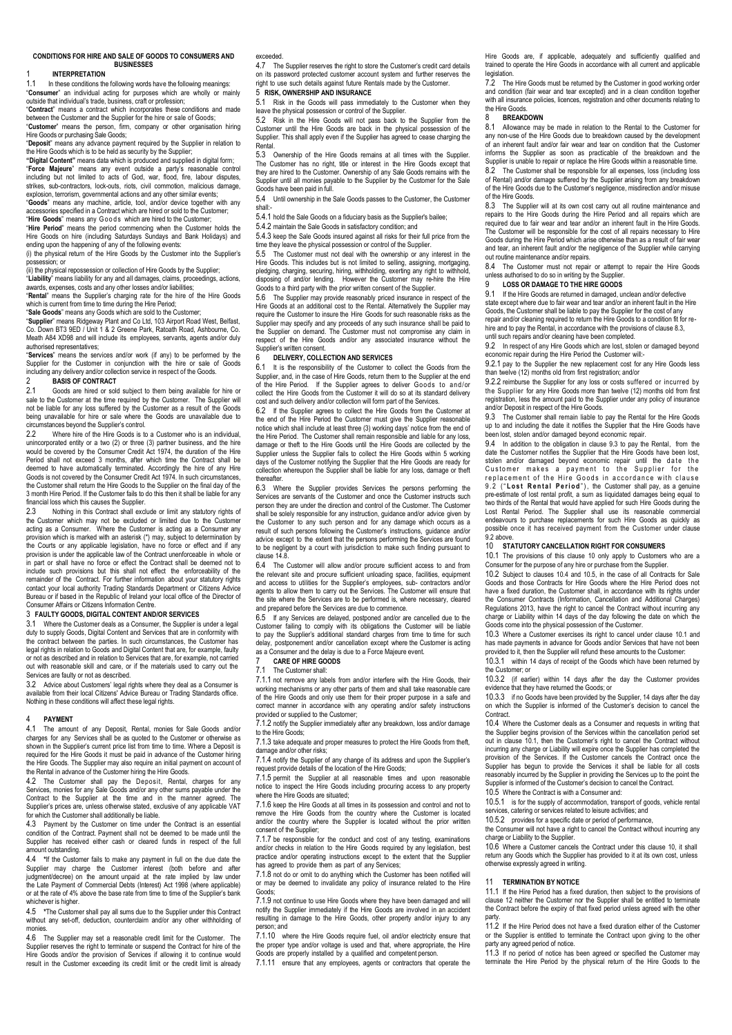#### **CONDITIONS FOR HIRE AND SALE OF GOODS TO CONSUMERS AND BUSINESSES**

# 1 **INTERPRETATION**

In these conditions the following words have the following meanings "**Consumer**" an individual acting for purposes which are wholly or mainly outside that individual's trade, business, craft or profession;

"**Contract**" means a contract which incorporates these conditions and made between the Customer and the Supplier for the hire or sale of Goods; "**Customer**" means the person, firm, company or other organisation hiring Hire Goods or purchasing Sale Goods;

"**Deposit**" means any advance payment required by the Supplier in relation to the Hire Goods which is to be held as security by the Supplier;

**"Digital Content"** means data which is produced and supplied in digital form; "**Force Majeure**" means any event outside a party's reasonable control including but not limited to acts of God, war, flood, fire, labour disputes, strikes, sub-contractors, lock-outs, riots, civil commotion, malicious damage. sub-contractors, lock-outs, riots, civil commotion, malicious damage, explosion, terrorism, governmental actions and any other similar events;

"**Goods**" means any machine, article, tool, and/or device together with any accessories specified in a Contract which are hired or sold to the Customer;

"**Hire Goods**" means any G o o d s which are hired to the Customer; "**Hire Period**" means the period commencing when the Customer holds the

Hire Goods on hire (including Saturdays Sundays and Bank Holidays) and ending upon the happening of any of the following events: (i) the physical return of the Hire Goods by the Customer into the Supplier's

possession; or (ii) the physical repossession or collection of Hire Goods by the Supplier;

"**Liability**" means liability for any and all damages, claims, proceedings, actions, awards, expenses, costs and any other losses and/or liabilities;

"**Rental**" means the Supplier's charging rate for the hire of the Hire Goods which is current from time to time during the Hire Period;

"**Sale Goods**" means any Goods which are sold to the Customer;

"**Supplier**" means Ridgeway Plant and Co Ltd, 103 Airport Road West, Belfast, Co. Down BT3 9ED / Unit 1 & 2 Greene Park, Ratoath Road, Ashbourne, Co. Meath A84 XD98 and will include its employees, servants, agents and/or duly authorised representatives;

"**Services**" means the services and/or work (if any) to be performed by the Supplier for the Customer in conjunction with the hire or sale of Goods including any delivery and/or collection service in respect of the Goods.<br>
2<br> **PASIS OF CONTRACT** 

# 2 **BASIS OF CONTRACT**

2.1 Goods are hired or sold subject to them being available for hire or sale to the Customer at the time required by the Customer. The Supplier will not be liable for any loss suffered by the Customer as a result of the Goods being unavailable for hire or sale where the Goods are unavailable due to circumstances beyond the Supplier's control.<br>2.2. Where hire of the Hire Goods is to

Where hire of the Hire Goods is to a Customer who is an individual, unincorporated entity or a two (2) or three (3) partner business, and the hire would be covered by the Consumer Credit Act 1974, the duration of the Hire Period shall not exceed 3 months, after which time the Contract shall be deemed to have automatically terminated. Accordingly the hire of any Hire Goods is not covered by the Consumer Credit Act 1974. In such circumstances, the Customer shall return the Hire Goods to the Supplier on the final day of the 3 month Hire Period. If the Customer fails to do this then it shall be liable for any financial loss which this causes the Supplier.<br>2.3 Nothing in this Contract shall exc

2.3 Nothing in this Contract shall exclude or limit any statutory rights of the Customer which may not be excluded or limited due to the Customer acting as a Consumer. Where the Customer is acting as a Consumer any ion which is marked with an asterisk (\*) may, subject to determination by the Courts or any applicable legislation, have no force or effect and if any provision is under the applicable law of the Contract unenforceable in whole or in part or shall have no force or effect the Contract shall be deemed not to include such provisions but this shall not effect the enforceability of the remainder of the Contract. For further information about your statutory rights contact your local authority Trading Standards Department or Citizens Advice<br>Bureau or if based in the Republic of Ireland your local office of the Director of<br>Consumer Affairs or Citizens Information Centre.

#### 3 **FAULTY GOODS, DIGITAL CONTENT AND/OR SERVICES**

3.1 Where the Customer deals as a Consumer, the Supplier is under a legal duty to supply Goods, Digital Content and Services that are in conformity with the contract between the parties. In such circumstances, the Customer has legal rights in relation to Goods and Digital Content that are, for example, faulty or not as described and in relation to Services that are, for example, not carried out with reasonable skill and care, or if the materials used to carry out the Services are faulty or not as described.

3.2 Advice about Customers' legal rights where they deal as a Consumer is available from their local Citizens' Advice Bureau or Trading Standards office. Nothing in these conditions will affect these legal rights.

#### 4 **PAYMENT**

4.1 The amount of any Deposit, Rental, monies for Sale Goods and/or charges for any Services shall be as quoted to the Customer or otherwise as sharped for any corriction shall be as quoted to the customer of child model as shown in the Supplier's current price list from time to time. Where a Deposit is required for the Hire Goods it must be paid in advance of the Customer hiring the Hire Goods. The Supplier may also require an initial payment on account of the Rental in advance of the Customer hiring the Hire Goods.

<span id="page-0-6"></span>4.2 The Customer shall pay the Deposit, Rental, charges for any Services, monies for any Sale Goods and/or any other sums payable under the Contract to the Supplier at the time and in the manner agreed. The Supplier's prices are, unless otherwise stated, exclusive of any applicable VAT for which the Customer shall additionally be liable.

4.3 Payment by the Customer on time under the Contract is an essential condition of the Contract. Payment shall not be deemed to be made until the Supplier has received either cash or cleared funds in respect of the full amount outstanding.

<span id="page-0-7"></span>4.4 **\***If the Customer fails to make any payment in full on the due date the Supplier may charge the Customer interest (both before and after judgment/decree) on the amount unpaid at the rate implied by law under the Late Payment of Commercial Debts (Interest) Act 1998 (where applicable) or at the rate of 4% above the base rate from time to time of the Supplier's bank whichever is higher.

<span id="page-0-8"></span>4.5 **\***The Customer shall pay all sums due to the Supplier under this Contract without any set-off, deduction, counterclaim and/or any other withholding of monies.

4.6 The Supplier may set a reasonable credit limit for the Customer. The Supplier reserves the right to terminate or suspend the Contract for hire of the<br>Hire Goods and/or the provision of Services if allowing it to continue would<br>result in the Customer exceeding its credit limit or the credit

#### exceeded.

4.7 The Supplier reserves the right to store the Customer's credit card details on its password protected customer account system and further reserves the right to use such details against future Rentals made by the Customer. 5 **RISK, OWNERSHIP AND INSURANCE**

### 5.1 Risk in the Goods will pass immediately to the Customer when they

leave the physical possession or control of the Supplier.

5.2 Risk in the Hire Goods will not pass back to the Supplier from the Customer until the Hire Goods are back in the physical possession of the Supplier. This shall apply even if the Supplier has agreed to cease charging the Rental.

5.3 Ownership of the Hire Goods remains at all times with the Supplier. The Customer has no right, title or interest in the Hire Goods except that they are hired to the Customer. Ownership of any Sale Goods remains with the Supplier until all monies payable to the Supplier by the Customer for the Sale Goods have been paid in full.

5.4 Until ownership in the Sale Goods passes to the Customer, the Customer shall:

5.4.1 hold the Sale Goods on a fiduciary basis as the Supplier's bailee;

5.4.2 maintain the Sale Goods in satisfactory condition; and

5.4.3 keep the Sale Goods insured against all risks for their full price from the time they leave the physical possession or control of the Supplier.

5.5 The Customer must not deal with the ownership or any interest in the Hire Goods. This includes but is not limited to selling, assigning, mortgaging, pledging, charging, securing, hiring, withholding, exerting any right to withhold, disposing of and/or lending. However the Customer may re-hire the Hire Goods to a third party with the prior written consent of the Supplier.

5.6 The Supplier may provide reasonably priced insurance in respect of the Hire Goods at an additional cost to the Rental. Alternatively the Supplier may require the Customer to insure the Hire Goods for such reasonable risks as the Supplier may specify and any proceeds of any such insurance shall be paid to the Supplier on demand. The Customer must not compromise any claim in respect of the Hire Goods and/or any associated insurance without the Supplier's written consent.<br>6 DELIVERY COLL

### 6 **DELIVERY, COLLECTION AND SERVICES**

6.1 It is the responsibility of the Customer to collect the Goods from the Supplier, and, in the case of Hire Goods, return them to the Supplier at the end of the Hire Period. If the Supplier agrees to deliver Goods to and/or collect the Hire Goods from the Customer it will do so at its standard delivery cost and such delivery and/or collection will form part of the Services.

6.2 If the Supplier agrees to collect the Hire Goods from the Customer at the end of the Hire Period the Customer must give the Supplier reasonable notice which shall include at least three (3) working days' notice from the end of the Hire Period. The Customer shall remain responsible and liable for any loss, damage or theft to the Hire Goods until the Hire Goods are collected by the Supplier unless the Supplier fails to collect the Hire Goods within 5 working days of the Customer notifying the Supplier that the Hire Goods are ready for the Customer notifying the Supplier that the Hire Goods are ready for collection whereupon the Supplier shall be liable for any loss, damage or theft **thereafter** 

6.3 Where the Supplier provides Services the persons performing the Services are servants of the Customer and once the Customer instructs such person they are under the direction and control of the Customer. The Customer shall be solely responsible for any instruction, guidance and/or advice given by the Customer to any such person and for any damage which occurs as a result of such persons following the Customer's instructions, guidance and/or advice except to the extent that the persons performing the Services are found to be negligent by a court with jurisdiction to make such finding pursuant to claus[e 14.8.](#page-1-0)

6.4 The Customer will allow and/or procure sufficient access to and from the relevant site and procure sufficient unloading space, facilities, equipment<br>and access to utilities for the Supplier's employees, sub- contractors and/or<br>agents to allow them to carry out the Services. The Customer wil site where the Services are to be performed is, where necessary, cleared and prepared before the Services are due to commence.<br>6.5 If any Services are delayed inostroned and/or are

If any Services are delayed, postponed and/or are cancelled due to the Customer failing to comply with its obligations the Customer will be liable to pay the Supplier's additional standard charges from time to time for such delay, postponement and/or cancellation except where the Customer is acting as a Consumer and the delay is due to a Force Majeure event.

### <span id="page-0-9"></span>7 **CARE OF HIRE GOODS**

The Customer shall:

7.1.1 not remove any labels from and/or interfere with the Hire Goods, their working mechanisms or any other parts of them and shall take reasonable care of the Hire Goods and only use them for their proper purpose in a safe and correct manner in accordance with any operating and/or safety instructions provided or supplied to the Customer;

7.1.2 notify the Supplier immediately after any breakdown, loss and/or damage to the Hire Goods;

7.1.3 take adequate and proper measures to protect the Hire Goods from theft, damage and/or other risks:

7.1.4 notify the Supplier of any change of its address and upon the Supplier's est provide details of the location of the Hire Goods;

7.1.5 permit the Supplier at all reasonable times and upon reasonable notice to inspect the Hire Goods including procuring access to any property where the Hire Goods are situated;

7.1.6 keep the Hire Goods at all times in its possession and control and not to remove the Hire Goods from the country where the Customer is located and/or the country where the Supplier is located without the prior written consent of the Supplier;

7.1.7 be responsible for the conduct and cost of any testing, examinations and/or checks in relation to the Hire Goods required by any legislation, best practice and/or operating instructions except to the extent that the Supplier has agreed to provide them as part of any Services;

7.1.8 not do or omit to do anything which the Customer has been notified will or may be deemed to invalidate any policy of insurance related to the Goods;

7.1.9 not continue to use Hire Goods where they have been damaged and will notify the Supplier immediately if the Hire Goods are involved in an accident resulting in damage to the Hire Goods, other property and/or injury to any person; and

7.1.10 where the Hire Goods require fuel, oil and/or electricity ensure that the proper type and/or voltage is used and that, where appropriate, the Hire Goods are properly installed by a qualified and competent person.

7.1.11 ensure that any employees, agents or contractors that operate the

Hire Goods are, if applicable, adequately and sufficiently qualified and trained to operate the Hire Goods in accordance with all current and applicable legislation.

The Hire Goods must be returned by the Customer in good working order and condition (fair wear and tear excepted) and in a clean condition together with all insurance policies, licences, registration and other documents relating to the Hire Goods.

#### 8 **BREAKDOWN**

<span id="page-0-10"></span>8.1 Allowance may be made in relation to the Rental to the Customer for any non-use of the Hire Goods due to breakdown caused by the development of an inherent fault and/or fair wear and tear on condition that the Customer informs the Supplier as soon as practicable of the breakdown and the Supplier is unable to repair or replace the Hire Goods within a reasonable time. 8.2 The Customer shall be responsible for all expenses, loss (including loss of Rental) and/or damage suffered by the Supplier arising from any breakdown of the Hire Goods due to the Customer's negligence, misdirection and/or misuse of the Hire Goods.

8.3 The Supplier will at its own cost carry out all routine maintenance and repairs to the Hire Goods during the Hire Period and all repairs which are required due to fair wear and tear and/or an inherent fault in the Hire Goods. The Customer will be responsible for the cost of all repairs necessary to Hire Goods during the Hire Period which arise otherwise than as a result of fair wear and tear, an inherent fault and/or the negligence of the Supplier while carrying out routine maintenance and/or repairs.

8.4 The Customer must not repair or attempt to repair the Hire Goods unless authorised to do so in writing by the Supplier.

# 9 **LOSS OR DAMAGE TO THE HIRE GOODS**

<span id="page-0-11"></span>If the Hire Goods are returned in damaged, unclean and/or defective state except where due to fair wear and tear and/or an inherent fault in the Hire Goods, the Customer shall be liable to pay the Supplier for the cost of any repair and/or cleaning required to return the Hire Goods to a condition fit for rehire and to pay the Rental, in accordance with the provisions of clause 8.3,

until such repairs and/or cleaning have been completed.

<span id="page-0-1"></span>9.2 In respect of any Hire Goods which are lost, stolen or damaged beyond economic repair during the Hire Period the Customer will:-

9.2.1 pay to the Supplier the new replacement cost for any Hire Goods less than twelve (12) months old from first registration; and/or

9.2.2 reimburse the Supplier for any loss or costs suffered or incurred by the Supplier for any Hire Goods more than twelve (12) months old from first registration, less the amount paid to the Supplier under any policy of insurance and/or Deposit in respect of the Hire Goods.

<span id="page-0-0"></span>9.3 The Customer shall remain liable to pay the Rental for the Hire Goods up to and including the date it notifies the Supplier that the Hire Goods have been lost, stolen and/or damaged beyond economic repair.

9.4 In addition to the obligation in claus[e 9.3](#page-0-0) to pay the Rental, from the date the Customer notifies the Supplier that the Hire Goods have been lost, stolen and/or damaged beyond economic repair until the date the<br>Customer makes a payment to the Supplier for the<br>replacement of the Hire Goods in accordance with clause 9.2 ("Lost Rental Period"), the Customer shall pay, as a genuine pre-estimate of lost rental profit, a sum as liquidated damages being equal to two thirds of the Rental that would have applied for such Hire Goods during the Lost Rental Period. The Supplier shall use its reasonable commercial endeavours to purchase replacements for such Hire Goods as quickly as possible once it has received payment from the Customer under clause [9.2](#page-0-1) above.<br>10  $\overline{5L}$ 

#### <span id="page-0-2"></span>10 **STATUTORY CANCELLATION RIGHT FOR CONSUMERS**

<span id="page-0-4"></span>10.1 The provisions of this clause [10](#page-0-2) only apply to Customers who are a Consumer for the purpose of any hire or purchase from the Supplier.

10.2 Subject to clauses [10.4](#page-0-3) and 10.5, in the case of all Contracts for Sale Goods and those Contracts for Hire Goods where the Hire Period does not have a fixed duration, the Customer shall, in accordance with its rights under the Consumer Contracts (Information, Cancellation and Additional Charges) Regulations 2013, have the right to cancel the Contract without incurring any charge or Liability within 14 days of the day following the date on which the Goods come into the physical possession of the Customer.

10.3 Where a Customer exercises its right to cancel under clause [10.1](#page-0-4) and has made payments in advance for Goods and/or Services that have not been provided to it, then the Supplier will refund these amounts to the Customer:

10.3.1 within 14 days of receipt of the Goods which have been returned by the Customer; or

10.3.2 (if earlier) within 14 days after the day the Customer provides evidence that they have returned the Goods; or

10.3.3 if no Goods have been provided by the Supplier, 14 days after the day on which the Supplier is informed of the Customer's decision to cancel the Contract.

<span id="page-0-3"></span>10.4 Where the Customer deals as a Consumer and requests in writing that the Supplier begins provision of the Services within the cancellation period set out in claus[e 10.1](#page-0-4), then the Customer's right to cancel the Contract without incurring any charge or Liability will expire once the Supplier has completed the provision of the Services. If the Customer cancels the Contract once the Supplier has begun to provide the Services it shall be liable for all costs reasonably incurred by the Supplier in providing the Services up to the point the Supplier is informed of the Customer's decision to cancel the Contract.

10.5 Where the Contract is with a Consumer and:

10.5.1 is for the supply of accommodation, transport of goods, vehicle rental services, catering or services related to leisure activities; and

10.5.2 provides for a specific date or period of performance,

the Consumer will not have a right to cancel the Contract without incurring any charge or Liability to the Supplier.

10.6 Where a Customer cancels the Contract under this clause 10, it shall return any Goods which the Supplier has provided to it at its own cost, unless otherwise expressly agreed in writing.

#### 11 **TERMINATION BY NOTICE**

<span id="page-0-5"></span>11.1 If the Hire Period has a fixed duration, then subject to the provisions of claus[e 12](#page-1-1) neither the Customer nor the Supplier shall be entitled to terminate the Contract before the expiry of that fixed period unless agreed with the other party. 11.2 If the Hire Period does not have a fixed duration either of the Customer

or the Supplier is entitled to terminate the Contract upon giving to the other party any agreed period of notice.

11.3 If no period of notice has been agreed or specified the Customer may terminate the Hire Period by the physical return of the Hire Goods to the